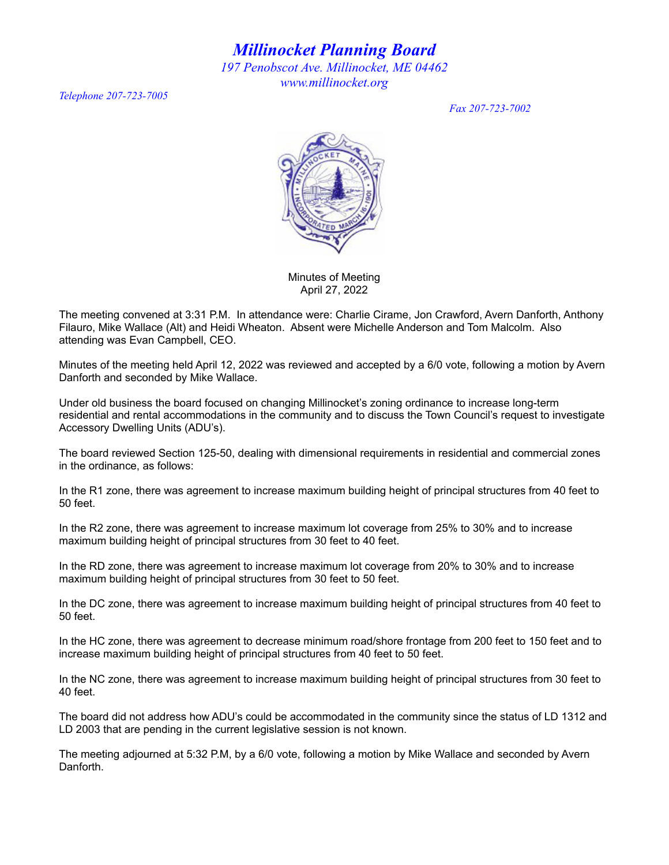*Millinocket Planning Board 197 Penobscot Ave. Millinocket, ME 04462 www.millinocket.org*

*Telephone 207-723-7005*

*Fax 207-723-7002*



Minutes of Meeting April 27, 2022

The meeting convened at 3:31 P.M. In attendance were: Charlie Cirame, Jon Crawford, Avern Danforth, Anthony Filauro, Mike Wallace (Alt) and Heidi Wheaton. Absent were Michelle Anderson and Tom Malcolm. Also attending was Evan Campbell, CEO.

Minutes of the meeting held April 12, 2022 was reviewed and accepted by a 6/0 vote, following a motion by Avern Danforth and seconded by Mike Wallace.

Under old business the board focused on changing Millinocket's zoning ordinance to increase long-term residential and rental accommodations in the community and to discuss the Town Council's request to investigate Accessory Dwelling Units (ADU's).

The board reviewed Section 125-50, dealing with dimensional requirements in residential and commercial zones in the ordinance, as follows:

In the R1 zone, there was agreement to increase maximum building height of principal structures from 40 feet to 50 feet.

In the R2 zone, there was agreement to increase maximum lot coverage from 25% to 30% and to increase maximum building height of principal structures from 30 feet to 40 feet.

In the RD zone, there was agreement to increase maximum lot coverage from 20% to 30% and to increase maximum building height of principal structures from 30 feet to 50 feet.

In the DC zone, there was agreement to increase maximum building height of principal structures from 40 feet to 50 feet.

In the HC zone, there was agreement to decrease minimum road/shore frontage from 200 feet to 150 feet and to increase maximum building height of principal structures from 40 feet to 50 feet.

In the NC zone, there was agreement to increase maximum building height of principal structures from 30 feet to 40 feet.

The board did not address how ADU's could be accommodated in the community since the status of LD 1312 and LD 2003 that are pending in the current legislative session is not known.

The meeting adjourned at 5:32 P.M, by a 6/0 vote, following a motion by Mike Wallace and seconded by Avern Danforth.